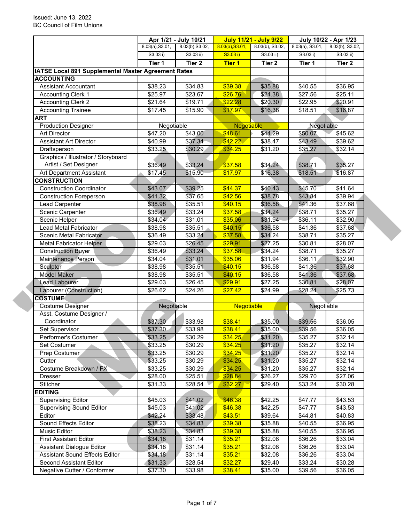|                                                                          |                             | Apr 1/21 - July 10/21          |                   | <b>July 11/21 - July 9/22</b>  |                                | July 10/22 - Apr 1/23          |  |
|--------------------------------------------------------------------------|-----------------------------|--------------------------------|-------------------|--------------------------------|--------------------------------|--------------------------------|--|
|                                                                          | 8.03(a), S3.01,<br>S3.03 i) | 8.03(b), S3.02,<br>$S3.03$ ii) | 8.03(a), S3.01,   | 8.03(b), S3.02,<br>$S3.03$ ii) | $8.03(a)$ , S3.01,<br>S3.03 i) | 8.03(b), S3.02,<br>$S3.03$ ii) |  |
|                                                                          |                             |                                | S3.03 i)          |                                |                                |                                |  |
|                                                                          | Tier 1                      | Tier 2                         | <b>Tier 1</b>     | Tier <sub>2</sub>              | Tier 1                         | Tier 2                         |  |
| IATSE Local 891 Supplemental Master Agreement Rates<br><b>ACCOUNTING</b> |                             |                                |                   |                                |                                |                                |  |
| <b>Assistant Accountant</b>                                              |                             |                                | \$39.38           |                                |                                |                                |  |
|                                                                          | \$38.23                     | \$34.83                        |                   | \$35.88                        | \$40.55                        | \$36.95                        |  |
| <b>Accounting Clerk 1</b>                                                | \$25.97                     | \$23.67                        | \$26.76           | \$24.38                        | \$27.56                        | \$25.11                        |  |
| <b>Accounting Clerk 2</b>                                                | \$21.64                     | \$19.71                        | \$22.28           | \$20.30                        | \$22.95                        | \$20.91                        |  |
| <b>Accounting Trainee</b>                                                | \$17.45                     | \$15.90                        | \$17.97           | \$16.38                        | \$18.51                        | \$16.87                        |  |
| <b>ART</b>                                                               |                             |                                |                   |                                |                                |                                |  |
| <b>Production Designer</b>                                               | Negotiable                  |                                | <b>Negotiable</b> |                                | Negotiable                     |                                |  |
| <b>Art Director</b>                                                      | \$47.20                     | \$43.00                        | \$48.61           | \$44.29                        | \$50.07                        | \$45.62                        |  |
| <b>Assistant Art Director</b>                                            | \$40.99                     | \$37.34                        | \$42.22           | \$38.47                        | \$43.49                        | \$39.62                        |  |
| Draftsperson                                                             | \$33.25                     | \$30.29                        | \$34.25           | \$31.20                        | \$35.27                        | \$32.14                        |  |
| Graphics / Illustrator / Storyboard                                      |                             |                                |                   |                                |                                |                                |  |
| Artist / Set Designer                                                    | \$36.49                     | \$33.24                        | \$37.58           | \$34.24                        | \$38.71                        | \$35.27                        |  |
| Art Department Assistant                                                 | $\overline{$}17.45$         | \$15.90                        | \$17.97           | \$16.38                        | \$18.51                        | \$16.87                        |  |
| <b>CONSTRUCTION</b>                                                      |                             |                                |                   |                                |                                |                                |  |
| <b>Construction Coordinator</b>                                          | \$43.07                     | \$39.25                        | \$44.37           | \$40.43                        | \$45.70                        | \$41.64                        |  |
| <b>Construction Foreperson</b>                                           | \$41.32                     | \$37.65                        | \$42.56           | \$38.78                        | \$43.84                        | \$39.94                        |  |
| Lead Carpenter                                                           | \$38.98                     | \$35.51                        | \$40.15           | \$36.58                        | \$41.36                        | \$37.68                        |  |
| Scenic Carpenter                                                         | \$36.49                     | \$33.24                        | \$37.58           | \$34.24                        | \$38.71                        | \$35.27                        |  |
| Scenic Helper                                                            | \$34.04                     | \$31.01                        | \$35.06           | \$31.94                        | \$36.11                        | \$32.90                        |  |
| Lead Metal Fabricator                                                    | \$38.98                     | \$35.51                        | \$40.15           | \$36.58                        | \$41.36                        | \$37.68                        |  |
| Scenic Metal Fabricator                                                  | \$36.49                     | \$33.24                        | \$37.58           | \$34.24                        | \$38.71                        | \$35.27                        |  |
| <b>Metal Fabricator Helper</b>                                           | \$29.03                     | \$26.45                        | \$29.91           | \$27.25                        | \$30.81                        | \$28.07                        |  |
| <b>Construction Buyer</b>                                                | \$36.49                     | \$33.24                        | \$37.58           | \$34.24                        | \$38.71                        | \$35.27                        |  |
| Maintenance Person                                                       | \$34.04                     | \$31.01                        | \$35.06           | \$31.94                        | \$36.11                        | \$32.90                        |  |
| Sculptor                                                                 | \$38.98                     | \$35.51                        | \$40.15           | \$36.58                        | \$41.36                        | \$37.68                        |  |
| <b>Model Maker</b>                                                       | \$38.98                     | \$35.51                        | \$40.15           | \$36.58                        | $\overline{$41.36}$            | \$37.68                        |  |
| <b>Lead Labourer</b>                                                     | \$29.03                     | $\overline{$}26.45$            | \$29.91           | \$27.25                        | \$30.81                        | \$28.07                        |  |
| Labourer (Construction)                                                  | \$26.62                     | \$24.26                        | \$27.42           | \$24.99                        | \$28.24                        | \$25.73                        |  |
| <b>COSTUME</b>                                                           |                             |                                |                   |                                |                                |                                |  |
| <b>Costume Designer</b>                                                  | Negotiable                  |                                | <b>Negotiable</b> |                                | Negotiable                     |                                |  |
| Asst. Costume Designer /                                                 |                             |                                |                   |                                |                                |                                |  |
| Coordinator                                                              | \$37.30                     | \$33.98                        | \$38.41           | \$35.00                        | \$39.56                        | \$36.05                        |  |
| Set Supervisor                                                           | \$37.30                     | \$33.98                        | \$38.41           | \$35.00                        | \$39.56                        | \$36.05                        |  |
| Performer's Costumer                                                     | \$33.25                     | \$30.29                        | \$34.25           | \$31.20                        | \$35.27                        | \$32.14                        |  |
| Set Costumer                                                             | \$33.25                     | \$30.29                        | \$34.25           | \$31.20                        | \$35.27                        | \$32.14                        |  |
| Prep Costumer                                                            | \$33.25                     | \$30.29                        | \$34.25           | \$31.20                        | \$35.27                        | \$32.14                        |  |
| Cutter                                                                   | \$33.25                     | \$30.29                        | \$34.25           | \$31.20                        | \$35.27                        | \$32.14                        |  |
| Costume Breakdown / FX                                                   | \$33.25                     | \$30.29                        | \$34.25           | \$31.20                        | \$35.27                        | \$32.14                        |  |
| Dresser                                                                  | \$28.00                     | \$25.51                        | \$28.84           | \$26.27                        | \$29.70                        | \$27.06                        |  |
| Stitcher                                                                 | \$31.33                     | \$28.54                        | \$32.27           | \$29.40                        | \$33.24                        | \$30.28                        |  |
| <b>EDITING</b>                                                           |                             |                                |                   |                                |                                |                                |  |
| <b>Supervising Editor</b>                                                | \$45.03                     | \$41.02                        | \$46.38           | \$42.25                        | \$47.77                        | \$43.53                        |  |
| <b>Supervising Sound Editor</b>                                          | \$45.03                     | \$41.02                        | \$46.38           | \$42.25                        | \$47.77                        | \$43.53                        |  |
| Editor                                                                   | \$42.24                     | \$38.48                        | \$43.51           | \$39.64                        | \$44.81                        | \$40.83                        |  |
| Sound Effects Editor                                                     | \$38.23                     | \$34.83                        | \$39.38           | \$35.88                        | \$40.55                        | \$36.95                        |  |
| Music Editor                                                             | \$38.23                     | \$34.83                        | \$39.38           | \$35.88                        | \$40.55                        | \$36.95                        |  |
| <b>First Assistant Editor</b>                                            | \$34.18                     | \$31.14                        | \$35.21           | \$32.08                        | \$36.26                        | \$33.04                        |  |
| Assistant Dialogue Editor                                                | \$34.18                     | \$31.14                        | \$35.21           | \$32.08                        | \$36.26                        | \$33.04                        |  |
|                                                                          | \$34.18                     | \$31.14                        | \$35.21           | \$32.08                        | \$36.26                        | \$33.04                        |  |
| <b>Assistant Sound Effects Editor</b>                                    |                             |                                |                   |                                | \$33.24                        | \$30.28                        |  |
| Second Assistant Editor                                                  | \$31.33                     | \$28.54                        | \$32.27           | \$29.40                        |                                |                                |  |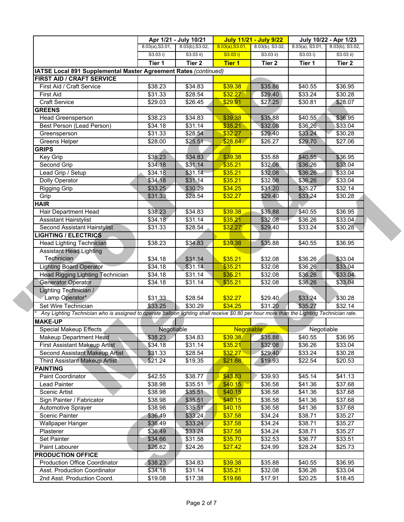|                                                                                                                                           |                     | Apr 1/21 - July 10/21 |                    | <b>July 11/21 - July 9/22</b> |                    | July 10/22 - Apr 1/23 |  |
|-------------------------------------------------------------------------------------------------------------------------------------------|---------------------|-----------------------|--------------------|-------------------------------|--------------------|-----------------------|--|
|                                                                                                                                           | 8.03(a), S3.01,     | 8.03(b), S3.02,       | 8.03(a), S3.01,    | 8.03(b), S3.02,               | $8.03(a)$ , S3.01, | 8.03(b), S3.02,       |  |
|                                                                                                                                           | S3.03 i)            | $S3.03$ ii)           | S3.03 i)           | $S3.03$ ii)                   | S3.03 i)           | $S3.03$ ii)           |  |
|                                                                                                                                           | Tier 1              | Tier 2                | <b>Tier 1</b>      | Tier 2                        | Tier 1             | Tier 2                |  |
| IATSE Local 891 Supplemental Master Agreement Rates (continued)                                                                           |                     |                       |                    |                               |                    |                       |  |
| <b>FIRST AID / CRAFT SERVICE</b>                                                                                                          |                     |                       |                    |                               |                    |                       |  |
| First Aid / Craft Service                                                                                                                 | \$38.23             | \$34.83               | \$39.38            | \$35.88                       | \$40.55            | \$36.95               |  |
| <b>First Aid</b>                                                                                                                          | \$31.33             | \$28.54               | \$32.27            | \$29.40                       | \$33.24            | \$30.28               |  |
| <b>Craft Service</b>                                                                                                                      | \$29.03             | \$26.45               | \$29.91            | \$27.25                       | \$30.81            | \$28.07               |  |
| <b>GREENS</b>                                                                                                                             |                     |                       |                    |                               |                    |                       |  |
| Head Greensperson                                                                                                                         | \$38.23             | \$34.83               | \$39.38            | \$35.88                       | \$40.55            | \$36.95               |  |
| Best Person (Lead Person)                                                                                                                 | \$34.18             | \$31.14               | \$35.21            | \$32.08                       | \$36.26            | \$33.04               |  |
| Greensperson                                                                                                                              | \$31.33             | \$28.54               | \$32.27            | \$29.40                       | \$33.24            | \$30.28               |  |
| Greens Helper                                                                                                                             | \$28.00             | \$25.51               | \$28.84            | \$26.27                       | \$29.70            | \$27.06               |  |
| <b>GRIPS</b>                                                                                                                              |                     |                       |                    |                               |                    |                       |  |
| Key Grip                                                                                                                                  | \$38.23             | \$34.83               | \$39.38            | \$35.88                       | \$40.55            | \$36.95               |  |
| Second Grip                                                                                                                               | \$34.18             | \$31.14               | \$35.21            | \$32.08                       | \$36.26            | \$33.04               |  |
| Lead Grip / Setup                                                                                                                         | $\overline{$}34.18$ | \$31.14               | \$35.21            | \$32.08                       | \$36.26            | \$33.04               |  |
| Dolly Operator                                                                                                                            | \$34.18             | \$31.14               | \$35.21            | \$32.08                       | \$36.26            | \$33.04               |  |
| <b>Rigging Grip</b>                                                                                                                       | \$33.25             | \$30.29               | \$34.25            | \$31.20                       | \$35.27            | \$32.14               |  |
| Grip                                                                                                                                      | \$31.33             | \$28.54               | \$32.27            | \$29.40                       | \$33.24            | \$30.28               |  |
| <b>HAIR</b>                                                                                                                               |                     |                       |                    |                               |                    |                       |  |
| Hair Department Head                                                                                                                      | \$38.23             | \$34.83               | \$39.38            | \$35.88                       | \$40.55            | \$36.95               |  |
| <b>Assistant Hairstylist</b>                                                                                                              | \$34.18             | $\overline{$}31.14$   | \$35.21            | \$32.08                       | \$36.26            | \$33.04               |  |
| Second Assistant Hairstylist                                                                                                              | \$31.33             | \$28.54               | \$32.27            | \$29.40                       | \$33.24            | \$30.28               |  |
| <b>LIGHTING / ELECTRICS</b>                                                                                                               |                     |                       |                    |                               |                    |                       |  |
| <b>Head Lighting Technician</b>                                                                                                           | \$38.23             | \$34.83               | \$39.38            | \$35.88                       | \$40.55            | \$36.95               |  |
| <b>Assistant Head Lighting</b>                                                                                                            |                     |                       |                    |                               |                    |                       |  |
| Technician                                                                                                                                | \$34.18             | \$31.14               | \$35.21            | \$32.08                       | \$36.26            | \$33.04               |  |
| <b>Lighting Board Operator</b>                                                                                                            | \$34.18             | \$31.14               | \$35.21            | \$32.08                       | \$36.26            | \$33.04               |  |
| Head Rigging Lighting Technician                                                                                                          | \$34.18             | \$31.14               | \$35.21            | \$32.08                       | \$36.26            | \$33.04               |  |
| <b>Generator Operator</b>                                                                                                                 | \$34.18             | \$31.14               | \$35.21            | \$32.08                       | \$36.26            | \$33.04               |  |
| Lighting Technician /                                                                                                                     |                     |                       |                    |                               |                    |                       |  |
| Lamp Operator*                                                                                                                            | \$31.33             | \$28.54               | \$32.27            | \$29.40                       | \$33.24            | \$30.28               |  |
| Set Wire Technician                                                                                                                       | \$33.25             | \$30.29               | \$34.25            | \$31.20                       | \$35.27            | \$32.14               |  |
| Any Lighting Technician who is assigned to operate balloon lighting shall receive \$0.80 per hour more than the Lighting Technician rate. |                     |                       |                    |                               |                    |                       |  |
| <b>MAKE-UP</b>                                                                                                                            |                     |                       |                    |                               |                    |                       |  |
| <b>Special Makeup Effects</b>                                                                                                             | Negotiable          |                       | Negotiable         |                               | Negotiable         |                       |  |
| Makeup Department Head                                                                                                                    | \$38.23             | \$34.83               | \$39.38            | \$35.88                       | \$40.55            | \$36.95               |  |
| <b>First Assistant Makeup Artist</b>                                                                                                      | \$34.18             | \$31.14               | \$35.21            | \$32.08                       | \$36.26            | \$33.04               |  |
| Second Assistant Makeup Artist                                                                                                            | \$31.33             | \$28.54               | \$32.27            | \$29.40                       | \$33.24            | \$30.28               |  |
| Third Assistant Makeup Artist                                                                                                             | \$21.24             | \$19.35               | \$21.88            | \$19.93                       | \$22.54            | \$20.53               |  |
| <b>PAINTING</b>                                                                                                                           |                     |                       |                    |                               |                    |                       |  |
| Paint Coordinator                                                                                                                         | \$42.55             | \$38.77               | \$43.83            | \$39.93                       | \$45.14            | \$41.13               |  |
| Lead Painter                                                                                                                              | \$38.98             | \$35.51               | \$40.15            | \$36.58                       | \$41.36            | \$37.68               |  |
| Scenic Artist                                                                                                                             | \$38.98             | \$35.51               | \$40.15            | \$36.58                       | \$41.36            | \$37.68               |  |
| Sign Painter / Fabricator                                                                                                                 | \$38.98             | \$35.51               | \$40.15            | \$36.58                       | \$41.36            | \$37.68               |  |
| <b>Automotive Sprayer</b>                                                                                                                 | \$38.98             | \$35.51               | \$40.15            | \$36.58                       | \$41.36            | \$37.68               |  |
| Scenic Painter                                                                                                                            | \$36.49             | \$33.24               | \$37.58            | \$34.24                       | \$38.71            | \$35.27               |  |
| Wallpaper Hanger                                                                                                                          | \$36.49             | \$33.24               | \$37.58            | \$34.24                       | \$38.71            | \$35.27               |  |
|                                                                                                                                           | \$36.49             | \$33.24               | \$37.58            | \$34.24                       | \$38.71            | \$35.27               |  |
|                                                                                                                                           |                     |                       | \$35.70            | \$32.53                       | \$36.77            | \$33.51               |  |
| Plasterer                                                                                                                                 |                     |                       |                    |                               |                    |                       |  |
| Set Painter                                                                                                                               | \$34.66             | \$31.58               |                    |                               |                    |                       |  |
| Paint Labourer                                                                                                                            | \$26.62             | \$24.26               | \$27.42            | \$24.99                       | \$28.24            | \$25.73               |  |
| <b>PRODUCTION OFFICE</b>                                                                                                                  |                     |                       |                    |                               |                    |                       |  |
| <b>Production Office Coordinator</b><br>Asst. Production Coordinator                                                                      | \$38.23<br>\$34.18  | \$34.83<br>\$31.14    | \$39.38<br>\$35.21 | \$35.88<br>\$32.08            | \$40.55<br>\$36.26 | \$36.95<br>\$33.04    |  |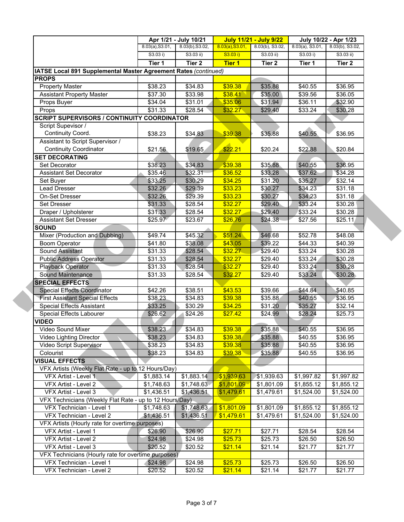|                                                                 |                     | Apr 1/21 - July 10/21 |                    | <b>July 11/21 - July 9/22</b> |                    | July 10/22 - Apr 1/23 |  |
|-----------------------------------------------------------------|---------------------|-----------------------|--------------------|-------------------------------|--------------------|-----------------------|--|
|                                                                 | 8.03(a), S3.01,     | 8.03(b), S3.02,       | 8.03(a), S3.01,    | 8.03(b), S3.02,               | $8.03(a)$ , S3.01, | 8.03(b), S3.02,       |  |
|                                                                 | S3.03 i)            | $S3.03$ ii)           | S3.03 i)           | $S3.03$ ii)                   | S3.03 i)           | $S3.03$ ii)           |  |
|                                                                 | Tier 1              | Tier 2                | <b>Tier 1</b>      | Tier 2                        | Tier 1             | Tier 2                |  |
| IATSE Local 891 Supplemental Master Agreement Rates (continued) |                     |                       |                    |                               |                    |                       |  |
| <b>PROPS</b>                                                    |                     |                       |                    |                               |                    |                       |  |
| <b>Property Master</b>                                          | \$38.23             | \$34.83               | \$39.38            | \$35.88                       | \$40.55            | \$36.95               |  |
| <b>Assistant Property Master</b><br>Props Buyer                 | \$37.30<br>\$34.04  | \$33.98<br>\$31.01    | \$38.41<br>\$35.06 | \$35.00<br>\$31.94            | \$39.56<br>\$36.11 | \$36.05<br>\$32.90    |  |
| Props                                                           | \$31.33             | \$28.54               | \$32.27            | \$29.40                       | \$33.24            | \$30.28               |  |
| SCRIPT SUPERVISORS / CONTINUITY COORDINATOR                     |                     |                       |                    |                               |                    |                       |  |
| Script Supevisor /                                              |                     |                       |                    |                               |                    |                       |  |
| Continuity Coord.                                               | \$38.23             | \$34.83               | \$39.38            | \$35.88                       | \$40.55            | \$36.95               |  |
| Assistant to Script Supervisor /                                |                     |                       |                    |                               |                    |                       |  |
| <b>Continuity Coordinator</b>                                   | \$21.56             | \$19.65               | \$22.21            | \$20.24                       | \$22.88            | \$20.84               |  |
| <b>SET DECORATING</b>                                           |                     |                       |                    |                               |                    |                       |  |
| Set Decorator                                                   | \$38.23             | \$34.83               | \$39.38            | \$35.88                       | \$40.55            | \$36.95               |  |
| <b>Assistant Set Decorator</b>                                  | \$35.46             | \$32.31               | \$36.52            | \$33.28                       | \$37.62            | \$34.28               |  |
| Set Buyer                                                       | \$33.25             | \$30.29               | \$34.25            | \$31.20                       | \$35.27            | \$32.14               |  |
| Lead Dresser                                                    | \$32.26             | \$29.39               | \$33.23            | \$30.27                       | \$34.23            | \$31.18               |  |
| On-Set Dresser                                                  | \$32.26             | \$29.39               | \$33.23            | \$30.27                       | \$34.23            | \$31.18               |  |
| <b>Set Dresser</b>                                              | \$31.33             | \$28.54               | \$32.27            | \$29.40                       | \$33.24            | \$30.28               |  |
| Draper / Upholsterer                                            | \$31.33             | \$28.54               | \$32.27            | \$29.40                       | \$33.24            | \$30.28               |  |
| <b>Assistant Set Dresser</b>                                    | \$25.97             | \$23.67               | \$26.76            | \$24.38                       | \$27.56            | \$25.11               |  |
| <b>SOUND</b>                                                    |                     |                       |                    |                               |                    |                       |  |
| Mixer (Production and Dubbing)                                  | \$49.74             | \$45.32               | \$51.24            | \$46.68                       | \$52.78            | \$48.08               |  |
| <b>Boom Operator</b>                                            | \$41.80             | \$38.08               | \$43.05            | \$39.22                       | \$44.33            | \$40.39               |  |
| Sound Assistant                                                 | \$31.33             | \$28.54               | \$32.27            | \$29.40                       | \$33.24            | \$30.28               |  |
| <b>Public Address Operator</b>                                  | \$31.33             | \$28.54               | \$32.27            | \$29.40                       | \$33.24            | \$30.28               |  |
| Playback Operator<br><b>Sound Maintenance</b>                   | \$31.33<br>\$31.33  | \$28.54<br>\$28.54    | \$32.27<br>\$32.27 | \$29.40<br>\$29.40            | \$33.24<br>\$33.24 | \$30.28<br>\$30.28    |  |
| <b>SPECIAL EFFECTS</b>                                          |                     |                       |                    |                               |                    |                       |  |
| <b>Special Effects Coordinator</b>                              | $\overline{$42.26}$ | \$38.51               | \$43.53            | \$39.66                       | \$44.84            | \$40.85               |  |
| <b>First Assistant Special Effects</b>                          | \$38.23             | \$34.83               | \$39.38            | \$35.88                       | \$40.55            | \$36.95               |  |
| <b>Special Effects Assistant</b>                                | \$33.25             | \$30.29               | \$34.25            | \$31.20                       | \$35.27            | \$32.14               |  |
| Special Effects Labourer                                        | \$26.62             | \$24.26               | \$27.42            | \$24.99                       | \$28.24            | \$25.73               |  |
| <b>VIDEO</b>                                                    |                     |                       |                    |                               |                    |                       |  |
| Video Sound Mixer                                               | \$38.23             | \$34.83               | \$39.38            | \$35.88                       | \$40.55            | \$36.95               |  |
| Video Lighting Director                                         | \$38.23             | \$34.83               | \$39.38            | \$35.88                       | \$40.55            | \$36.95               |  |
| Video Script Supervisor                                         | \$38.23             | \$34.83               | \$39.38            | \$35.88                       | \$40.55            | \$36.95               |  |
| Colourist                                                       | \$38.23             | \$34.83               | \$39.38            | \$35.88                       | \$40.55            | \$36.95               |  |
| <b>VISUAL EFFECTS</b>                                           |                     |                       |                    |                               |                    |                       |  |
| VFX Artists (Weekly Flat Rate - up to 12 Hours/Day)             |                     |                       |                    |                               |                    |                       |  |
| VFX Artist - Level 1                                            | \$1,883.14          | \$1,883.14            | \$1,939.63         | \$1,939.63                    | \$1,997.82         | \$1,997.82            |  |
| VFX Artist - Level 2                                            | \$1,748.63          | \$1,748.63            | \$1,801.09         | \$1,801.09                    | \$1,855.12         | \$1,855.12            |  |
| VFX Artist - Level 3                                            | \$1,436.51          | \$1,436.51            | \$1,479.61         | \$1,479.61                    | \$1,524.00         | \$1,524.00            |  |
| VFX Technicians (Weekly Flat Rate - up to 12 Hours/Day)         |                     |                       |                    |                               |                    |                       |  |
| VFX Technician - Level 1                                        | \$1,748.63          | \$1,748.63            | \$1,801.09         | \$1,801.09                    | \$1,855.12         | \$1,855.12            |  |
| VFX Technician - Level 2                                        | \$1,436.51          | \$1,436.51            | \$1,479.61         | \$1,479.61                    | \$1,524.00         | \$1,524.00            |  |
| VFX Artists (Hourly rate for overtime purposes)                 |                     |                       |                    |                               |                    |                       |  |
| VFX Artist - Level 1                                            | \$26.90             | \$26.90               | \$27.71            | \$27.71                       | \$28.54            | \$28.54               |  |
| VFX Artist - Level 2<br>VFX Artist - Level 3                    | \$24.98<br>\$20.52  | \$24.98               | \$25.73            | \$25.73                       | \$26.50            | \$26.50               |  |
| VFX Technicians (Hourly rate for overtime purposes)             |                     | \$20.52               | \$21.14            | \$21.14                       | \$21.77            | \$21.77               |  |
| VFX Technician - Level 1                                        | \$24.98             | \$24.98               | \$25.73            | \$25.73                       | \$26.50            | \$26.50               |  |
| VFX Technician - Level 2                                        | \$20.52             | \$20.52               | \$21.14            | \$21.14                       | \$21.77            | \$21.77               |  |
|                                                                 |                     |                       |                    |                               |                    |                       |  |